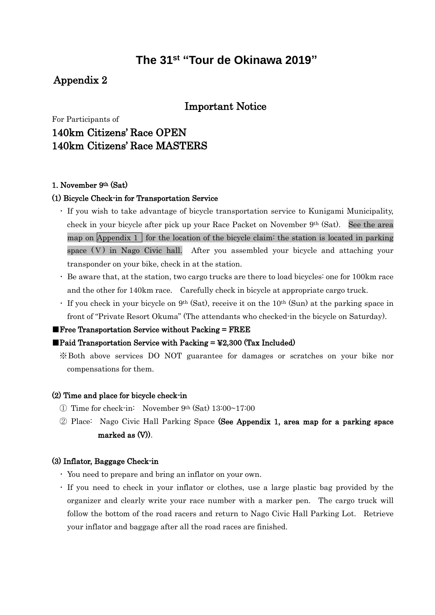# **The 31 st "Tour de Okinawa 2019"**

## Appendix 2

## Important Notice

For Participants of

# 140km Citizens' Race OPEN 140km Citizens' Race MASTERS

### 1. November 9th (Sat)

#### (1) Bicycle Check-in for Transportation Service

- ・ If you wish to take advantage of bicycle transportation service to Kunigami Municipality, check in your bicycle after pick up your Race Packet on November 9th (Sat). See the area map on Appendix 1 for the location of the bicycle claim: the station is located in parking space (V) in Nago Civic hall. After you assembled your bicycle and attaching your transponder on your bike, check in at the station.
- ・ Be aware that, at the station, two cargo trucks are there to load bicycles: one for 100km race and the other for 140km race. Carefully check in bicycle at appropriate cargo truck.
- $\cdot$  If you check in your bicycle on 9<sup>th</sup> (Sat), receive it on the 10<sup>th</sup> (Sun) at the parking space in front of "Private Resort Okuma" (The attendants who checked-in the bicycle on Saturday).

#### $\blacksquare$  Free Transportation Service without Packing  $=$  FREE

#### Paid Transportation Service with Packing  $=$  ¥2,300 (Tax Included)

※Both above services DO NOT guarantee for damages or scratches on your bike nor compensations for them.

### (2) Time and place for bicycle check-in

- ① Time for check-in: November 9th (Sat) 13:00~17:00
- ② Place: Nago Civic Hall Parking Space (See Appendix 1, area map for a parking space marked as (V)).

### (3) Inflator, Baggage Check-in

- ・ You need to prepare and bring an inflator on your own.
- ・ If you need to check in your inflator or clothes, use a large plastic bag provided by the organizer and clearly write your race number with a marker pen. The cargo truck will follow the bottom of the road racers and return to Nago Civic Hall Parking Lot. Retrieve your inflator and baggage after all the road races are finished.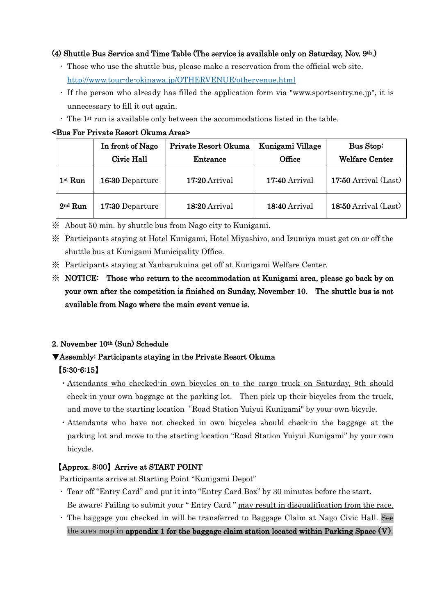### (4) Shuttle Bus Service and Time Table (The service is available only on Saturday, Nov. 9th.)

- ・ Those who use the shuttle bus, please make a reservation from the official web site. <http://www.tour-de-okinawa.jp/OTHERVENUE/othervenue.html>
- ・ If the person who already has filled the application form via "www.sportsentry.ne.jp", it is unnecessary to fill it out again.
- $\cdot$  The 1<sup>st</sup> run is available only between the accommodations listed in the table.

### <Bus For Private Resort Okuma Area>

|           | In front of Nago<br>Civic Hall | Private Resort Okuma<br>Entrance | Kunigami Village<br>Office | Bus Stop:<br><b>Welfare Center</b> |
|-----------|--------------------------------|----------------------------------|----------------------------|------------------------------------|
| $1st$ Run | 16:30 Departure                | $17:20$ Arrival                  | $17:40$ Arrival            | $17:50$ Arrival (Last)             |
| $2nd$ Run | 17:30 Departure                | 18:20 Arrival                    | 18:40 Arrival              | 18:50 Arrival (Last)               |

※ About 50 min. by shuttle bus from Nago city to Kunigami.

- ※ Participants staying at Hotel Kunigami, Hotel Miyashiro, and Izumiya must get on or off the shuttle bus at Kunigami Municipality Office.
- ※ Participants staying at Yanbarukuina get off at Kunigami Welfare Center.

## ※ NOTICE: Those who return to the accommodation at Kunigami area, please go back by on your own after the competition is finished on Sunday, November 10. The shuttle bus is not available from Nago where the main event venue is.

## 2. November 10th (Sun) Schedule

## ▼Assembly: Participants staying in the Private Resort Okuma

## 【5:30-6:15】

- ・Attendants who checked-in own bicycles on to the cargo truck on Saturday, 9th should check-in your own baggage at the parking lot. Then pick up their bicycles from the truck, and move to the starting location"Road Station Yuiyui Kunigami" by your own bicycle.
- ・Attendants who have not checked in own bicycles should check-in the baggage at the parking lot and move to the starting location "Road Station Yuiyui Kunigami" by your own bicycle.

## 【Approx. 8:00】Arrive at START POINT

Participants arrive at Starting Point "Kunigami Depot"

- ・ Tear off "Entry Card" and put it into "Entry Card Box" by 30 minutes before the start. Be aware: Failing to submit your " Entry Card " may result in disqualification from the race.
- ・ The baggage you checked in will be transferred to Baggage Claim at Nago Civic Hall. See the area map in appendix 1 for the baggage claim station located within Parking Space (Ⅴ).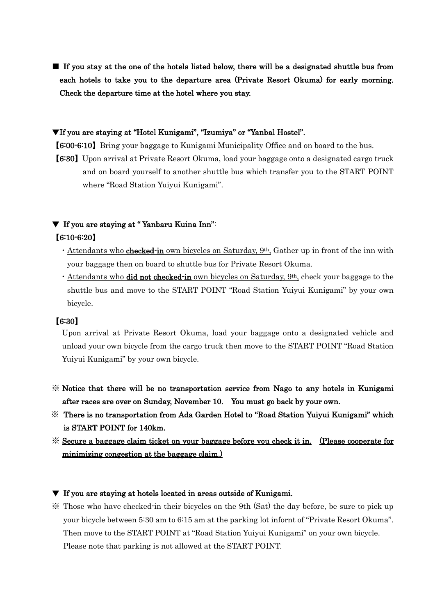■ If you stay at the one of the hotels listed below, there will be a designated shuttle bus from each hotels to take you to the departure area (Private Resort Okuma) for early morning. Check the departure time at the hotel where you stay.

### ▼If you are staying at "Hotel Kunigami", "Izumiya" or "Yanbal Hostel".

【6:00-6:10】Bring your baggage to Kunigami Municipality Office and on board to the bus.

【6:30】Upon arrival at Private Resort Okuma, load your baggage onto a designated cargo truck and on board yourself to another shuttle bus which transfer you to the START POINT where "Road Station Yuiyui Kunigami".

## ▼ If you are staying at " Yanbaru Kuina Inn": 【6:10-6:20】

- Attendants who **checked-in** own bicycles on Saturday,  $9<sup>th</sup>$ , Gather up in front of the inn with your baggage then on board to shuttle bus for Private Resort Okuma.
- Attendants who **did not checked-in** own bicycles on Saturday,  $9<sup>th</sup>$ , check your baggage to the shuttle bus and move to the START POINT "Road Station Yuiyui Kunigami" by your own bicycle.

## 【6:30】

Upon arrival at Private Resort Okuma, load your baggage onto a designated vehicle and unload your own bicycle from the cargo truck then move to the START POINT "Road Station Yuiyui Kunigami" by your own bicycle.

- ※ Notice that there will be no transportation service from Nago to any hotels in Kunigami after races are over on Sunday, November 10. You must go back by your own.
- ※ There is no transportation from Ada Garden Hotel to "Road Station Yuiyui Kunigami" which is START POINT for 140km.
- ※ Secure a baggage claim ticket on your baggage before you check it in. (Please cooperate for minimizing congestion at the baggage claim.)

### ▼ If you are staying at hotels located in areas outside of Kunigami.

※ Those who have checked-in their bicycles on the 9th (Sat) the day before, be sure to pick up your bicycle between 5:30 am to 6:15 am at the parking lot infornt of "Private Resort Okuma". Then move to the START POINT at "Road Station Yuiyui Kunigami" on your own bicycle. Please note that parking is not allowed at the START POINT.